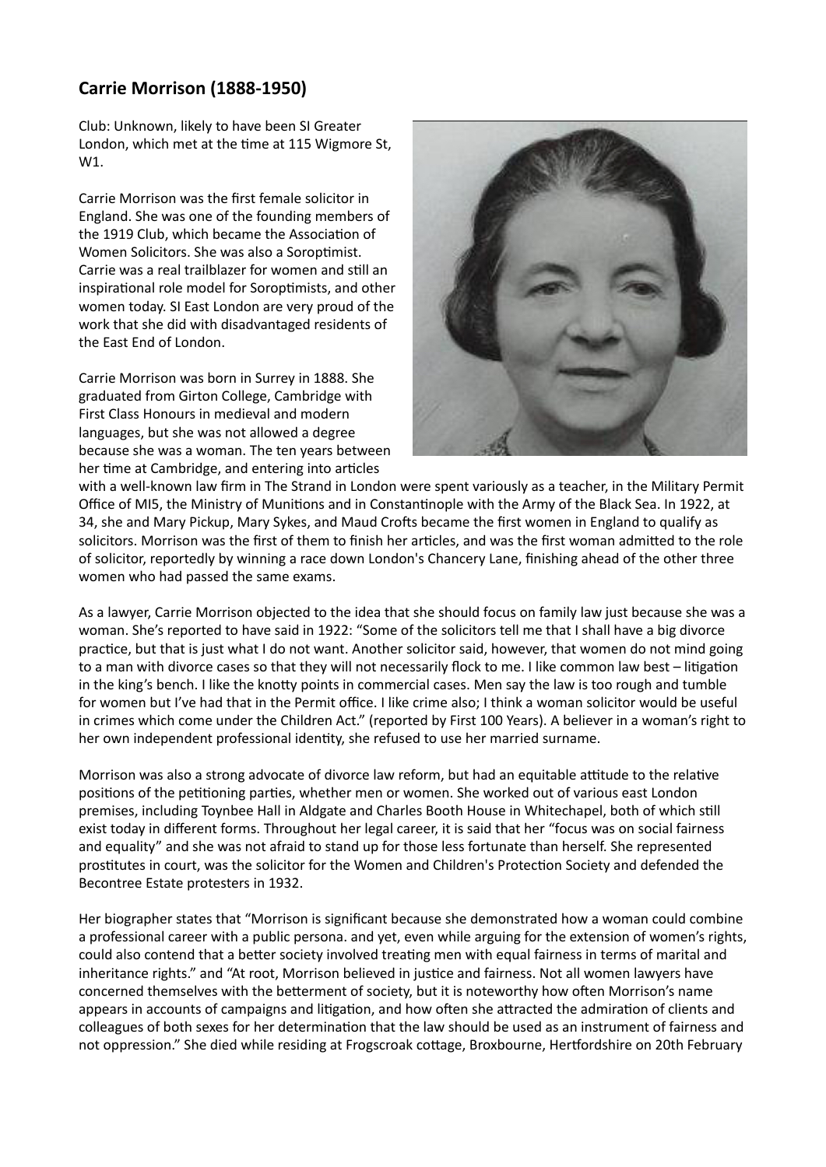## **Carrie Morrison (1888-1950)**

Club: Unknown, likely to have been SI Greater London, which met at the time at 115 Wigmore St, W1.

Carrie Morrison was the first female solicitor in England. She was one of the founding members of the 1919 Club, which became the Association of Women Solicitors. She was also a Soroptimist. Carrie was a real trailblazer for women and still an inspirational role model for Soroptimists, and other women today. SI East London are very proud of the work that she did with disadvantaged residents of the East End of London.

Carrie Morrison was born in Surrey in 1888. She graduated from Girton College, Cambridge with First Class Honours in medieval and modern languages, but she was not allowed a degree because she was a woman. The ten years between her time at Cambridge, and entering into articles



with a well-known law firm in The Strand in London were spent variously as a teacher, in the Military Permit Office of MI5, the Ministry of Munitions and in Constantinople with the Army of the Black Sea. In 1922, at 34, she and Mary Pickup, Mary Sykes, and Maud Crofts became the first women in England to qualify as solicitors. Morrison was the first of them to finish her articles, and was the first woman admitted to the role of solicitor, reportedly by winning a race down London's Chancery Lane, finishing ahead of the other three women who had passed the same exams.

As a lawyer, Carrie Morrison objected to the idea that she should focus on family law just because she was a woman. She's reported to have said in 1922: "Some of the solicitors tell me that I shall have a big divorce practice, but that is just what I do not want. Another solicitor said, however, that women do not mind going to a man with divorce cases so that they will not necessarily flock to me. I like common law best – litigation in the king's bench. I like the knotty points in commercial cases. Men say the law is too rough and tumble for women but I've had that in the Permit office. I like crime also; I think a woman solicitor would be useful in crimes which come under the Children Act." (reported by First 100 Years). A believer in a woman's right to her own independent professional identity, she refused to use her married surname.

Morrison was also a strong advocate of divorce law reform, but had an equitable attitude to the relative positions of the petitioning parties, whether men or women. She worked out of various east London premises, including Toynbee Hall in Aldgate and Charles Booth House in Whitechapel, both of which still exist today in different forms. Throughout her legal career, it is said that her "focus was on social fairness and equality" and she was not afraid to stand up for those less fortunate than herself. She represented prostitutes in court, was the solicitor for the Women and Children's Protection Society and defended the Becontree Estate protesters in 1932.

Her biographer states that "Morrison is significant because she demonstrated how a woman could combine a professional career with a public persona. and yet, even while arguing for the extension of women's rights, could also contend that a better society involved treating men with equal fairness in terms of marital and inheritance rights." and "At root, Morrison believed in justice and fairness. Not all women lawyers have concerned themselves with the betterment of society, but it is noteworthy how often Morrison's name appears in accounts of campaigns and litigation, and how often she attracted the admiration of clients and colleagues of both sexes for her determination that the law should be used as an instrument of fairness and not oppression." She died while residing at Frogscroak cottage, Broxbourne, Hertfordshire on 20th February